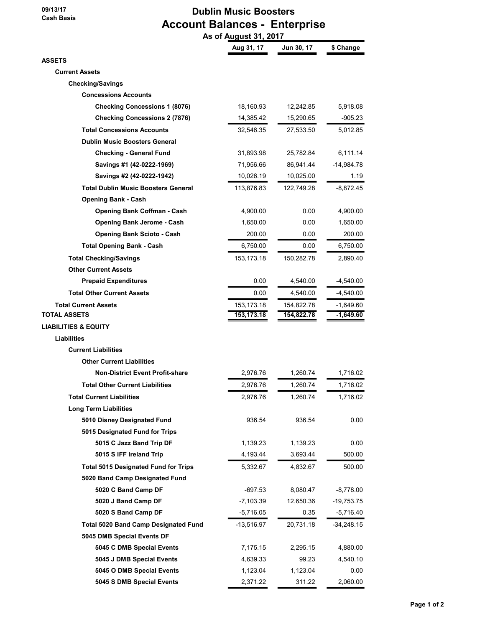09/13/17 Cash Basis

## Dublin Music Boosters Account Balances - Enterprise As of August 31, 2017

|                                             | Aug 31, 17   | Jun 30, 17 | \$ Change    |
|---------------------------------------------|--------------|------------|--------------|
| ASSETS                                      |              |            |              |
| <b>Current Assets</b>                       |              |            |              |
| <b>Checking/Savings</b>                     |              |            |              |
| <b>Concessions Accounts</b>                 |              |            |              |
| <b>Checking Concessions 1 (8076)</b>        | 18,160.93    | 12,242.85  | 5,918.08     |
| <b>Checking Concessions 2 (7876)</b>        | 14,385.42    | 15,290.65  | -905.23      |
| <b>Total Concessions Accounts</b>           | 32,546.35    | 27,533.50  | 5,012.85     |
| <b>Dublin Music Boosters General</b>        |              |            |              |
| <b>Checking - General Fund</b>              | 31,893.98    | 25,782.84  | 6,111.14     |
| Savings #1 (42-0222-1969)                   | 71,956.66    | 86,941.44  | $-14,984.78$ |
| Savings #2 (42-0222-1942)                   | 10,026.19    | 10,025.00  | 1.19         |
| <b>Total Dublin Music Boosters General</b>  | 113,876.83   | 122,749.28 | -8,872.45    |
| <b>Opening Bank - Cash</b>                  |              |            |              |
| <b>Opening Bank Coffman - Cash</b>          | 4,900.00     | 0.00       | 4,900.00     |
| <b>Opening Bank Jerome - Cash</b>           | 1,650.00     | 0.00       | 1,650.00     |
| <b>Opening Bank Scioto - Cash</b>           | 200.00       | 0.00       | 200.00       |
| <b>Total Opening Bank - Cash</b>            | 6,750.00     | 0.00       | 6,750.00     |
| <b>Total Checking/Savings</b>               | 153, 173. 18 | 150,282.78 | 2,890.40     |
| <b>Other Current Assets</b>                 |              |            |              |
| <b>Prepaid Expenditures</b>                 | 0.00         | 4,540.00   | -4,540.00    |
| <b>Total Other Current Assets</b>           | 0.00         | 4,540.00   | -4,540.00    |
| <b>Total Current Assets</b>                 | 153, 173. 18 | 154,822.78 | -1,649.60    |
| TOTAL ASSETS                                | 153,173.18   | 154,822.78 | $-1,649.60$  |
| LIABILITIES & EQUITY                        |              |            |              |
| <b>Liabilities</b>                          |              |            |              |
| <b>Current Liabilities</b>                  |              |            |              |
| <b>Other Current Liabilities</b>            |              |            |              |
| <b>Non-District Event Profit-share</b>      | 2,976.76     | 1,260.74   | 1,716.02     |
| <b>Total Other Current Liabilities</b>      | 2,976.76     | 1,260.74   | 1,716.02     |
| <b>Total Current Liabilities</b>            | 2,976.76     | 1,260.74   | 1,716.02     |
| <b>Long Term Liabilities</b>                |              |            |              |
| 5010 Disney Designated Fund                 | 936.54       | 936.54     | 0.00         |
| 5015 Designated Fund for Trips              |              |            |              |
| 5015 C Jazz Band Trip DF                    | 1,139.23     | 1,139.23   | 0.00         |
| 5015 S IFF Ireland Trip                     | 4,193.44     | 3,693.44   | 500.00       |
| <b>Total 5015 Designated Fund for Trips</b> | 5,332.67     | 4,832.67   | 500.00       |
| 5020 Band Camp Designated Fund              |              |            |              |
| 5020 C Band Camp DF                         | $-697.53$    | 8,080.47   | $-8,778.00$  |
| 5020 J Band Camp DF                         | $-7,103.39$  | 12,650.36  | $-19,753.75$ |
| 5020 S Band Camp DF                         | $-5,716.05$  | 0.35       | $-5,716.40$  |
| <b>Total 5020 Band Camp Designated Fund</b> | -13,516.97   | 20,731.18  | -34,248.15   |
| 5045 DMB Special Events DF                  |              |            |              |
| 5045 C DMB Special Events                   | 7,175.15     | 2,295.15   | 4,880.00     |
| 5045 J DMB Special Events                   | 4,639.33     | 99.23      | 4,540.10     |
| 5045 O DMB Special Events                   | 1,123.04     | 1,123.04   | 0.00         |
| 5045 S DMB Special Events                   | 2,371.22     | 311.22     | 2,060.00     |